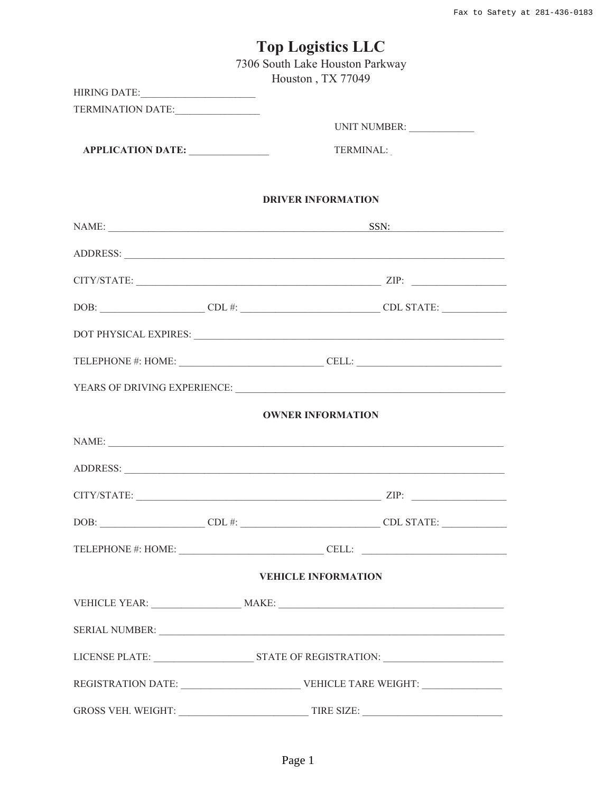|                   | <b>Top Logistics LLC</b>                                                                                                                                             |
|-------------------|----------------------------------------------------------------------------------------------------------------------------------------------------------------------|
|                   | 7306 South Lake Houston Parkway                                                                                                                                      |
|                   | Houston, TX 77049                                                                                                                                                    |
| TERMINATION DATE: |                                                                                                                                                                      |
|                   |                                                                                                                                                                      |
| APPLICATION DATE: | TERMINAL:                                                                                                                                                            |
|                   |                                                                                                                                                                      |
|                   | <b>DRIVER INFORMATION</b>                                                                                                                                            |
|                   | NAME: SSN:                                                                                                                                                           |
|                   |                                                                                                                                                                      |
|                   | $CITY/STATE:$ $ZIP:$                                                                                                                                                 |
|                   |                                                                                                                                                                      |
|                   |                                                                                                                                                                      |
|                   | TELEPHONE #: HOME: _______________________________CELL: _________________________                                                                                    |
|                   |                                                                                                                                                                      |
|                   | <b>OWNER INFORMATION</b>                                                                                                                                             |
|                   |                                                                                                                                                                      |
|                   |                                                                                                                                                                      |
|                   | $CITY/STATE:$ $ZIP:$                                                                                                                                                 |
|                   | $\text{DOB:}\n \underline{\hspace{2cm}} \text{CDL} \n \#: \underline{\hspace{2cm}} \text{CDL} \longrightarrow \text{CDL} \text{ STATE:} \n \underline{\hspace{2cm}}$ |
|                   | TELEPHONE #: HOME: __________________________________CELL: ______________________                                                                                    |
|                   | <b>VEHICLE INFORMATION</b>                                                                                                                                           |
|                   |                                                                                                                                                                      |
|                   |                                                                                                                                                                      |
|                   |                                                                                                                                                                      |
|                   |                                                                                                                                                                      |
|                   |                                                                                                                                                                      |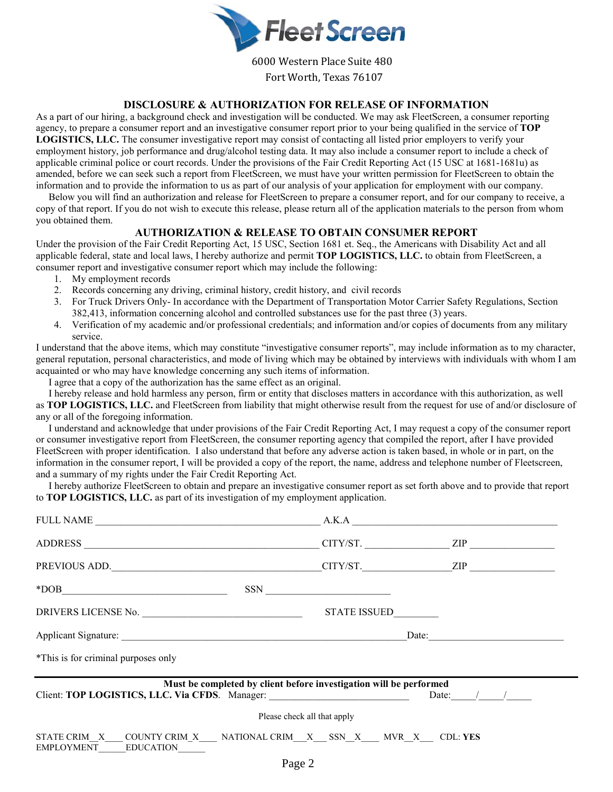

6000 Western Place Suite 480 Fort Worth, Texas 76107

#### **DISCLOSURE & AUTHORIZATION FOR RELEASE OF INFORMATION**

As a part of our hiring, a background check and investigation will be conducted. We may ask FleetScreen, a consumer reporting agency, to prepare a consumer report and an investigative consumer report prior to your being qualified in the service of **TOP LOGISTICS, LLC.** The consumer investigative report may consist of contacting all listed prior employers to verify your employment history, job performance and drug/alcohol testing data. It may also include a consumer report to include a check of applicable criminal police or court records. Under the provisions of the Fair Credit Reporting Act (15 USC at 1681-1681u) as amended, before we can seek such a report from FleetScreen, we must have your written permission for FleetScreen to obtain the information and to provide the information to us as part of our analysis of your application for employment with our company.

 Below you will find an authorization and release for FleetScreen to prepare a consumer report, and for our company to receive, a copy of that report. If you do not wish to execute this release, please return all of the application materials to the person from whom you obtained them.

#### **AUTHORIZATION & RELEASE TO OBTAIN CONSUMER REPORT**

Under the provision of the Fair Credit Reporting Act, 15 USC, Section 1681 et. Seq., the Americans with Disability Act and all applicable federal, state and local laws, I hereby authorize and permit **TOP LOGISTICS, LLC.** to obtain from FleetScreen, a consumer report and investigative consumer report which may include the following:

- 1. My employment records
- 2. Records concerning any driving, criminal history, credit history, and civil records
- 3. For Truck Drivers Only- In accordance with the Department of Transportation Motor Carrier Safety Regulations, Section 382,413, information concerning alcohol and controlled substances use for the past three (3) years.
- 4. Verification of my academic and/or professional credentials; and information and/or copies of documents from any military service.

I understand that the above items, which may constitute "investigative consumer reports", may include information as to my character, general reputation, personal characteristics, and mode of living which may be obtained by interviews with individuals with whom I am acquainted or who may have knowledge concerning any such items of information.

I agree that a copy of the authorization has the same effect as an original.

 I hereby release and hold harmless any person, firm or entity that discloses matters in accordance with this authorization, as well as **TOP LOGISTICS, LLC.** and FleetScreen from liability that might otherwise result from the request for use of and/or disclosure of any or all of the foregoing information.

 I understand and acknowledge that under provisions of the Fair Credit Reporting Act, I may request a copy of the consumer report or consumer investigative report from FleetScreen, the consumer reporting agency that compiled the report, after I have provided FleetScreen with proper identification. I also understand that before any adverse action is taken based, in whole or in part, on the information in the consumer report, I will be provided a copy of the report, the name, address and telephone number of Fleetscreen, and a summary of my rights under the Fair Credit Reporting Act.

 I hereby authorize FleetScreen to obtain and prepare an investigative consumer report as set forth above and to provide that report to **TOP LOGISTICS, LLC.** as part of its investigation of my employment application.

| $ADDRESS$ $CITY/ST$ . $ZIP$ $ZIP$                                                                         |                                                                    |                  |  |
|-----------------------------------------------------------------------------------------------------------|--------------------------------------------------------------------|------------------|--|
|                                                                                                           |                                                                    |                  |  |
| $*DOB$                                                                                                    | $SSN$                                                              |                  |  |
|                                                                                                           | STATE ISSUED_________                                              |                  |  |
|                                                                                                           |                                                                    |                  |  |
| *This is for criminal purposes only                                                                       |                                                                    |                  |  |
| Client: TOP LOGISTICS, LLC. Via CFDS. Manager: _________________________________                          | Must be completed by client before investigation will be performed | Date: $\angle$ / |  |
|                                                                                                           | Please check all that apply                                        |                  |  |
| STATE CRIM_X___COUNTY CRIM_X____ NATIONAL CRIM__X___ SSN_X____ MVR_X____ CDL: YES<br>EMPLOYMENT EDUCATION |                                                                    |                  |  |
|                                                                                                           | $\mathbf{r}$ a contract $\mathbf{r}$                               |                  |  |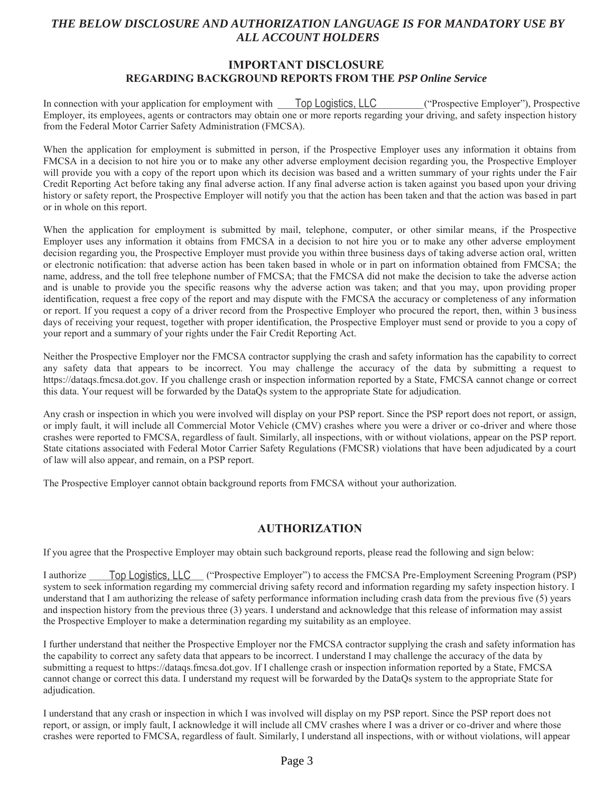### *THE BELOW DISCLOSURE AND AUTHORIZATION LANGUAGE IS FOR MANDATORY USE BY ALL ACCOUNT HOLDERS*

### **IMPORTANT DISCLOSURE REGARDING BACKGROUND REPORTS FROM THE** *PSP Online Service*

In connection with your application for employment with **Top Logistics, LLC** ("Prospective Employer"), Prospective Employer, its employees, agents or contractors may obtain one or more reports regarding your driving, and safety inspection history from the Federal Motor Carrier Safety Administration (FMCSA).

When the application for employment is submitted in person, if the Prospective Employer uses any information it obtains from FMCSA in a decision to not hire you or to make any other adverse employment decision regarding you, the Prospective Employer will provide you with a copy of the report upon which its decision was based and a written summary of your rights under the Fair Credit Reporting Act before taking any final adverse action. If any final adverse action is taken against you based upon your driving history or safety report, the Prospective Employer will notify you that the action has been taken and that the action was based in part or in whole on this report.

When the application for employment is submitted by mail, telephone, computer, or other similar means, if the Prospective Employer uses any information it obtains from FMCSA in a decision to not hire you or to make any other adverse employment decision regarding you, the Prospective Employer must provide you within three business days of taking adverse action oral, written or electronic notification: that adverse action has been taken based in whole or in part on information obtained from FMCSA; the name, address, and the toll free telephone number of FMCSA; that the FMCSA did not make the decision to take the adverse action and is unable to provide you the specific reasons why the adverse action was taken; and that you may, upon providing proper identification, request a free copy of the report and may dispute with the FMCSA the accuracy or completeness of any information or report. If you request a copy of a driver record from the Prospective Employer who procured the report, then, within 3 business days of receiving your request, together with proper identification, the Prospective Employer must send or provide to you a copy of your report and a summary of your rights under the Fair Credit Reporting Act.

Neither the Prospective Employer nor the FMCSA contractor supplying the crash and safety information has the capability to correct any safety data that appears to be incorrect. You may challenge the accuracy of the data by submitting a request to https://dataqs.fmcsa.dot.gov. If you challenge crash or inspection information reported by a State, FMCSA cannot change or correct this data. Your request will be forwarded by the DataQs system to the appropriate State for adjudication.

Any crash or inspection in which you were involved will display on your PSP report. Since the PSP report does not report, or assign, or imply fault, it will include all Commercial Motor Vehicle (CMV) crashes where you were a driver or co-driver and where those crashes were reported to FMCSA, regardless of fault. Similarly, all inspections, with or without violations, appear on the PSP report. State citations associated with Federal Motor Carrier Safety Regulations (FMCSR) violations that have been adjudicated by a court of law will also appear, and remain, on a PSP report.

The Prospective Employer cannot obtain background reports from FMCSA without your authorization.

### **AUTHORIZATION**

If you agree that the Prospective Employer may obtain such background reports, please read the following and sign below:

I authorize **Top Logistics, LLC** ("Prospective Employer") to access the FMCSA Pre-Employment Screening Program (PSP) system to seek information regarding my commercial driving safety record and information regarding my safety inspection history. I understand that I am authorizing the release of safety performance information including crash data from the previous five (5) years and inspection history from the previous three  $(3)$  years. I understand and acknowledge that this release of information may assist the Prospective Employer to make a determination regarding my suitability as an employee.

I further understand that neither the Prospective Employer nor the FMCSA contractor supplying the crash and safety information has the capability to correct any safety data that appears to be incorrect. I understand I may challenge the accuracy of the data by submitting a request to https://datags.fmcsa.dot.gov. If I challenge crash or inspection information reported by a State, FMCSA cannot change or correct this data. I understand my request will be forwarded by the DataQs system to the appropriate State for adjudication.

I understand that any crash or inspection in which I was involved will display on my PSP report. Since the PSP report does not report, or assign, or imply fault, I acknowledge it will include all CMV crashes where I was a driver or co-driver and where those crashes were reported to FMCSA, regardless of fault. Similarly, I understand all inspections, with or without violations, will appear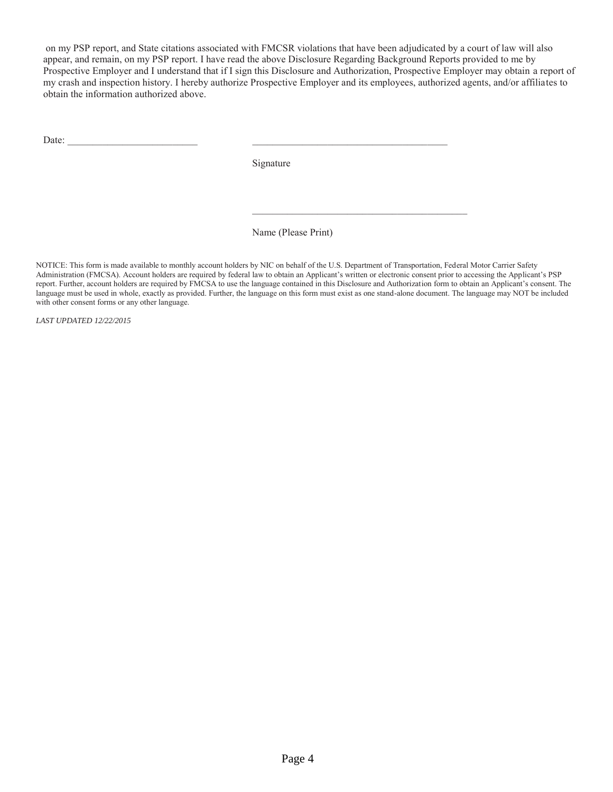on my PSP report, and State citations associated with FMCSR violations that have been adjudicated by a court of law will also appear, and remain, on my PSP report. I have read the above Disclosure Regarding Background Reports provided to me by Prospective Employer and I understand that if I sign this Disclosure and Authorization, Prospective Employer may obtain a report of my crash and inspection history. I hereby authorize Prospective Employer and its employees, authorized agents, and/or affiliates to obtain the information authorized above.

Date:

Signature

Name (Please Print)

NOTICE: This form is made available to monthly account holders by NIC on behalf of the U.S. Department of Transportation, Federal Motor Carrier Safety Administration (FMCSA). Account holders are required by federal law to obtain an Applicant's written or electronic consent prior to accessing the Applicant's PSP report. Further, account holders are required by FMCSA to use the language contained in this Disclosure and Authorization form to obtain an Applicant's consent. The language must be used in whole, exactly as provided. Further, the language on this form must exist as one stand-alone document. The language may NOT be included with other consent forms or any other language.

LAST UPDATED 12/22/2015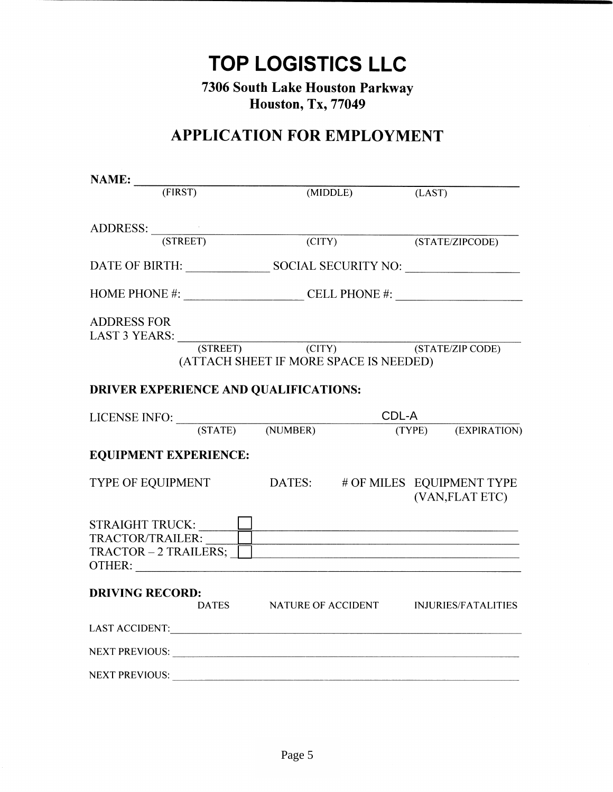**TOP LOGISTICS LLC** 

7306 South Lake Houston Parkway **Houston, Tx, 77049** 

# **APPLICATION FOR EMPLOYMENT**

| NAME:                                                                   |                                        |        |                                                     |
|-------------------------------------------------------------------------|----------------------------------------|--------|-----------------------------------------------------|
| (TIRST)                                                                 | (MIDDLE)                               |        | (LAST)                                              |
| ADDRESS: <u>(STREET)</u>                                                |                                        |        |                                                     |
|                                                                         |                                        | (CITY) | (STATE/ZIPCODE)                                     |
|                                                                         |                                        |        |                                                     |
| HOME PHONE #: $\_\_\_\_\_\_\_\_\_\_\_\_\_\_\_\_\_\_\_\_\_\_\_\_\_\_$    |                                        |        |                                                     |
| <b>ADDRESS FOR</b>                                                      |                                        |        |                                                     |
| LAST 3 YEARS: (STREET) (CITY) (STATE/ZIP CODE)                          | (ATTACH SHEET IF MORE SPACE IS NEEDED) |        |                                                     |
| <b>DRIVER EXPERIENCE AND QUALIFICATIONS:</b>                            |                                        |        |                                                     |
|                                                                         |                                        | CDL-A  |                                                     |
|                                                                         |                                        |        | (TYPE) (EXPIRATION)                                 |
| <b>EQUIPMENT EXPERIENCE:</b>                                            |                                        |        |                                                     |
| TYPE OF EQUIPMENT                                                       |                                        |        | DATES: # OF MILES EQUIPMENT TYPE<br>(VAN, FLAT ETC) |
| STRAIGHT TRUCK:<br>TRACTOR/TRAILER: UNIVERSITY OF TRACTOR - 2 TRAILERS; |                                        |        |                                                     |
| <b>DRIVING RECORD:</b>                                                  |                                        |        | DATES NATURE OF ACCIDENT INJURIES/FATALITIES        |
|                                                                         |                                        |        |                                                     |
| NEXT PREVIOUS:                                                          |                                        |        |                                                     |
| <b>NEXT PREVIOUS:</b>                                                   |                                        |        |                                                     |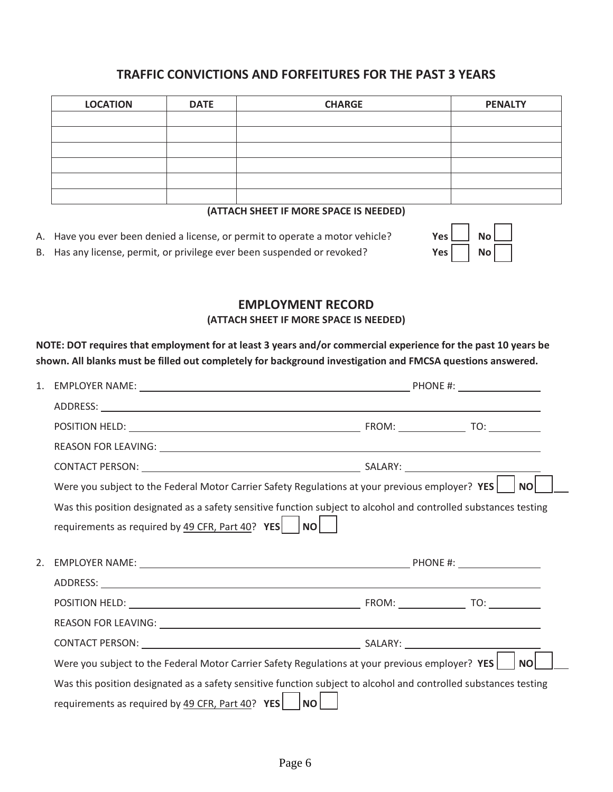### **TRAFFIC CONVICTIONS AND FORFEITURES FOR THE PAST 3 YEARS**

| <b>LOCATION</b> | <b>DATE</b> | <b>CHARGE</b> | <b>PENALTY</b> |
|-----------------|-------------|---------------|----------------|
|                 |             |               |                |
|                 |             |               |                |
|                 |             |               |                |
|                 |             |               |                |
|                 |             |               |                |
|                 |             |               |                |

#### **(ATTACH SHEET IF MORE SPACE IS NEEDED)**

- A. Have you ever been denied a license, or permit to operate a motor vehicle? **Yes Yes No**
- B. Has any license, permit, or privilege ever been suspended or revoked? **Yes Yes Yes No**

# **EMPLOYMENT RECORD**

**(ATTACH SHEET IF MORE SPACE IS NEEDED)** 

**NOTE: DOT requires that employment for at least 3 years and/or commercial experience for the past 10 years be shown. All blanks must be filled out completely for background investigation and FMCSA questions answered.** 

| 1. |                                                                                                                  |           |
|----|------------------------------------------------------------------------------------------------------------------|-----------|
|    |                                                                                                                  |           |
|    |                                                                                                                  |           |
|    |                                                                                                                  |           |
|    |                                                                                                                  |           |
|    | Were you subject to the Federal Motor Carrier Safety Regulations at your previous employer? YES                  | <b>NO</b> |
|    | Was this position designated as a safety sensitive function subject to alcohol and controlled substances testing |           |
|    | requirements as required by $\frac{49}{25}$ CFR, Part $\frac{40}{2}$ YES NO                                      |           |
|    |                                                                                                                  |           |
| 2. |                                                                                                                  |           |
|    |                                                                                                                  |           |
|    |                                                                                                                  |           |
|    |                                                                                                                  |           |
|    |                                                                                                                  |           |
|    | Were you subject to the Federal Motor Carrier Safety Regulations at your previous employer? YES                  | <b>NO</b> |
|    | Was this position designated as a safety sensitive function subject to alcohol and controlled substances testing |           |
|    |                                                                                                                  |           |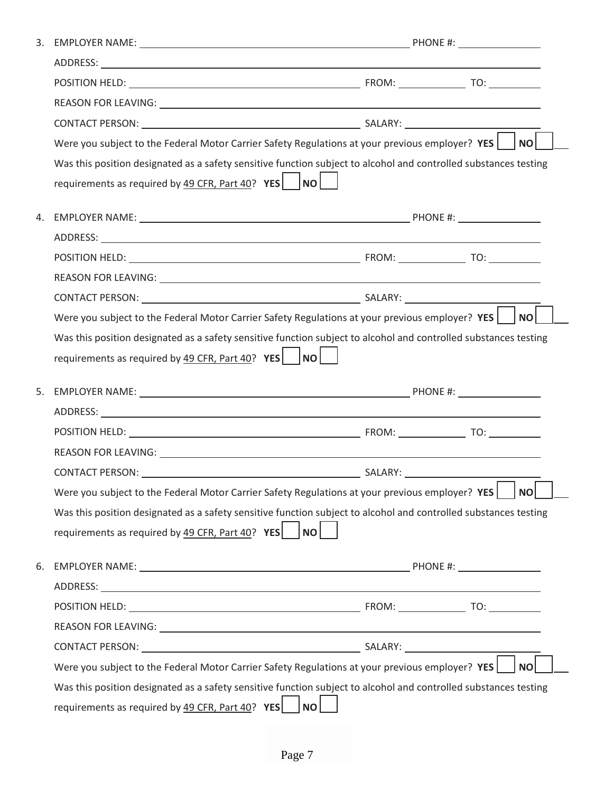|    | Were you subject to the Federal Motor Carrier Safety Regulations at your previous employer? $YES$                |  |  | NO        |  |  |
|----|------------------------------------------------------------------------------------------------------------------|--|--|-----------|--|--|
|    | Was this position designated as a safety sensitive function subject to alcohol and controlled substances testing |  |  |           |  |  |
|    | requirements as required by $\frac{49 \text{ CFR}}{120 \text{ F}}$ , Part $\frac{40}{12}$ , YES   NO             |  |  |           |  |  |
| 4. |                                                                                                                  |  |  |           |  |  |
|    |                                                                                                                  |  |  |           |  |  |
|    |                                                                                                                  |  |  |           |  |  |
|    |                                                                                                                  |  |  |           |  |  |
|    |                                                                                                                  |  |  |           |  |  |
|    | Were you subject to the Federal Motor Carrier Safety Regulations at your previous employer? YES $\vert$ NO       |  |  |           |  |  |
|    | Was this position designated as a safety sensitive function subject to alcohol and controlled substances testing |  |  |           |  |  |
|    |                                                                                                                  |  |  |           |  |  |
|    | requirements as required by $\frac{49 \text{ CFR}}{120 \text{ F}}$ , Part $\frac{40}{12}$ , YES    NO            |  |  |           |  |  |
| 5. |                                                                                                                  |  |  |           |  |  |
|    |                                                                                                                  |  |  |           |  |  |
|    |                                                                                                                  |  |  |           |  |  |
|    |                                                                                                                  |  |  |           |  |  |
|    |                                                                                                                  |  |  |           |  |  |
|    | Were you subject to the Federal Motor Carrier Safety Regulations at your previous employer? YES                  |  |  | <b>NO</b> |  |  |
|    | Was this position designated as a safety sensitive function subject to alcohol and controlled substances testing |  |  |           |  |  |
|    | requirements as required by $\frac{49 \text{ CFR}}{120 \text{ F}}$ $\text{YES}$ $\vert$ $\vert \text{NO} \vert$  |  |  |           |  |  |
|    |                                                                                                                  |  |  |           |  |  |
|    |                                                                                                                  |  |  |           |  |  |
|    |                                                                                                                  |  |  |           |  |  |
|    |                                                                                                                  |  |  |           |  |  |
|    |                                                                                                                  |  |  |           |  |  |
| 6. | Were you subject to the Federal Motor Carrier Safety Regulations at your previous employer? YES                  |  |  | <b>NO</b> |  |  |
|    | Was this position designated as a safety sensitive function subject to alcohol and controlled substances testing |  |  |           |  |  |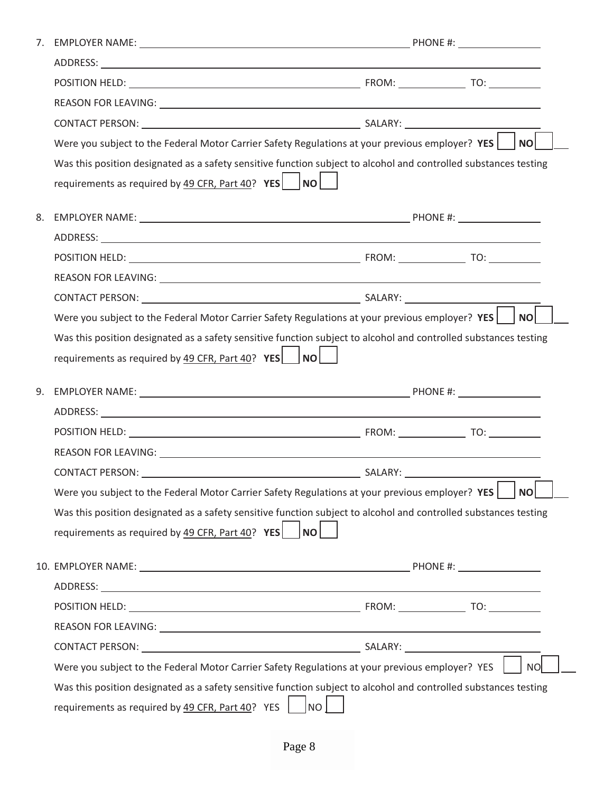|    | Were you subject to the Federal Motor Carrier Safety Regulations at your previous employer? YES $ $ $ $ NO                                                                                                                     |  |           |  |  |
|----|--------------------------------------------------------------------------------------------------------------------------------------------------------------------------------------------------------------------------------|--|-----------|--|--|
|    | Was this position designated as a safety sensitive function subject to alcohol and controlled substances testing                                                                                                               |  |           |  |  |
|    | requirements as required by $\frac{49 \text{ CFR}}{120 \text{ F}}$ $\text{YES}$ $\vert$ NO                                                                                                                                     |  |           |  |  |
| 8. |                                                                                                                                                                                                                                |  |           |  |  |
|    |                                                                                                                                                                                                                                |  |           |  |  |
|    |                                                                                                                                                                                                                                |  |           |  |  |
|    |                                                                                                                                                                                                                                |  |           |  |  |
|    |                                                                                                                                                                                                                                |  |           |  |  |
|    | Were you subject to the Federal Motor Carrier Safety Regulations at your previous employer? $YES$   NO                                                                                                                         |  |           |  |  |
|    | Was this position designated as a safety sensitive function subject to alcohol and controlled substances testing                                                                                                               |  |           |  |  |
|    | requirements as required by $49$ CFR, Part $40$ ? YES   NO                                                                                                                                                                     |  |           |  |  |
|    |                                                                                                                                                                                                                                |  |           |  |  |
| 9. |                                                                                                                                                                                                                                |  |           |  |  |
|    |                                                                                                                                                                                                                                |  |           |  |  |
|    |                                                                                                                                                                                                                                |  |           |  |  |
|    |                                                                                                                                                                                                                                |  |           |  |  |
|    |                                                                                                                                                                                                                                |  |           |  |  |
|    |                                                                                                                                                                                                                                |  |           |  |  |
|    | Were you subject to the Federal Motor Carrier Safety Regulations at your previous employer? YES                                                                                                                                |  | <b>NO</b> |  |  |
|    | Was this position designated as a safety sensitive function subject to alcohol and controlled substances testing                                                                                                               |  |           |  |  |
|    | requirements as required by $\frac{49}{25}$ CFR, Part 40? YES    NO                                                                                                                                                            |  |           |  |  |
|    | 10. EMPLOYER NAME: NAME: Note and the set of the set of the set of the set of the set of the set of the set of the set of the set of the set of the set of the set of the set of the set of the set of the set of the set of t |  |           |  |  |
|    |                                                                                                                                                                                                                                |  |           |  |  |
|    |                                                                                                                                                                                                                                |  |           |  |  |
|    |                                                                                                                                                                                                                                |  |           |  |  |
|    |                                                                                                                                                                                                                                |  |           |  |  |
|    | Were you subject to the Federal Motor Carrier Safety Regulations at your previous employer? YES                                                                                                                                |  | <b>NO</b> |  |  |
|    | Was this position designated as a safety sensitive function subject to alcohol and controlled substances testing                                                                                                               |  |           |  |  |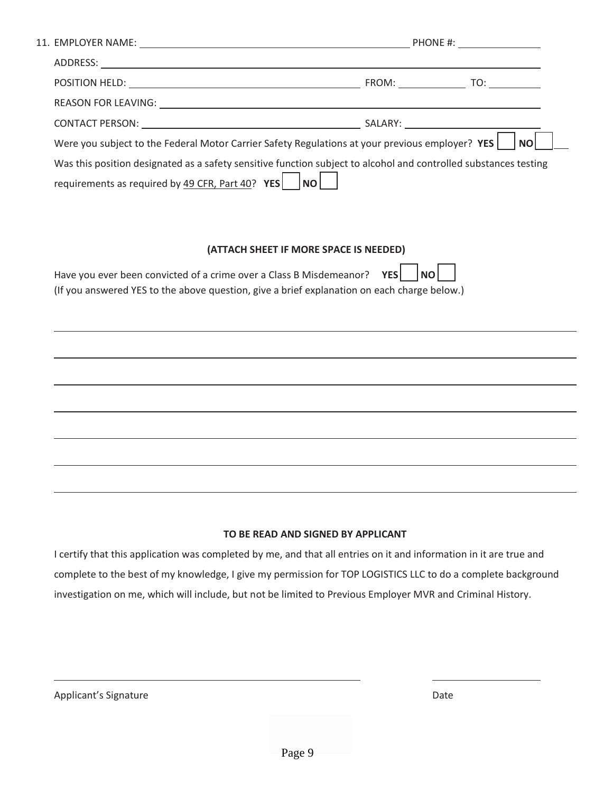| Were you subject to the Federal Motor Carrier Safety Regulations at your previous employer? YES                  |                                        | <b>NO</b> |
|------------------------------------------------------------------------------------------------------------------|----------------------------------------|-----------|
| Was this position designated as a safety sensitive function subject to alcohol and controlled substances testing |                                        |           |
| requirements as required by $49$ CFR, Part $40$ ? YES   NO                                                       |                                        |           |
|                                                                                                                  |                                        |           |
|                                                                                                                  |                                        |           |
|                                                                                                                  | (ATTACH SHEET IF MORE SPACE IS NEEDED) |           |
| Have you ever been convicted of a crime over a Class B Misdemeanor? YES                                          |                                        | <b>NO</b> |
| (If you answered YES to the above question, give a brief explanation on each charge below.)                      |                                        |           |
|                                                                                                                  |                                        |           |
|                                                                                                                  |                                        |           |

#### **TO BE READ AND SIGNED BY APPLICANT**

I certify that this application was completed by me, and that all entries on it and information in it are true and complete to the best of my knowledge, I give my permission for TOP LOGISTICS LLC to do a complete background investigation on me, which will include, but not be limited to Previous Employer MVR and Criminal History.

| Applicant's Signature | Date |
|-----------------------|------|
|-----------------------|------|

l

l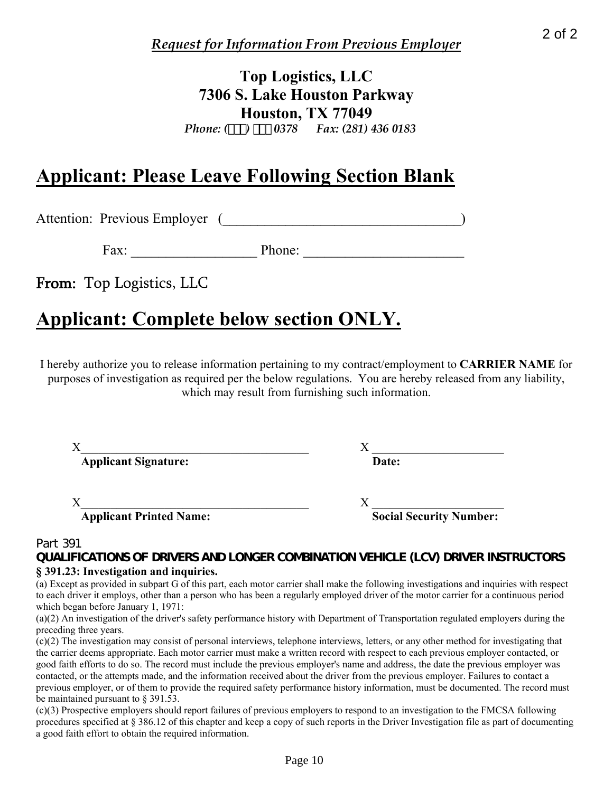# **Top Logistics, LLC 7306 S. Lake Houston Parkway Houston, TX 77049**  *Phone: () 0378 Fax: (281) 436 0183*

# **Applicant: Please Leave Following Section Blank**

Attention: Previous Employer (2002)

Fax: Phone:

From: Top Logistics, LLC

# **Applicant: Complete below section ONLY.**

I hereby authorize you to release information pertaining to my contract/employment to **CARRIER NAME** for purposes of investigation as required per the below regulations. You are hereby released from any liability, which may result from furnishing such information.

| <b>Applicant Signature:</b>    | Date:                          |
|--------------------------------|--------------------------------|
|                                |                                |
| <b>Applicant Printed Name:</b> | <b>Social Security Number:</b> |

### Part 391

**QUALIFICATIONS OF DRIVERS AND LONGER COMBINATION VEHICLE (LCV) DRIVER INSTRUCTORS § 391.23: Investigation and inquiries.** 

(a) Except as provided in subpart G of this part, each motor carrier shall make the following investigations and inquiries with respect to each driver it employs, other than a person who has been a regularly employed driver of the motor carrier for a continuous period which began before January 1, 1971:

(a)(2) An investigation of the driver's safety performance history with Department of Transportation regulated employers during the preceding three years.

(c)(2) The investigation may consist of personal interviews, telephone interviews, letters, or any other method for investigating that the carrier deems appropriate. Each motor carrier must make a written record with respect to each previous employer contacted, or good faith efforts to do so. The record must include the previous employer's name and address, the date the previous employer was contacted, or the attempts made, and the information received about the driver from the previous employer. Failures to contact a previous employer, or of them to provide the required safety performance history information, must be documented. The record must be maintained pursuant to § 391.53. Page 10 2 of 2

(c)(3) Prospective employers should report failures of previous employers to respond to an investigation to the FMCSA following procedures specified at § 386.12 of this chapter and keep a copy of such reports in the Driver Investigation file as part of documenting a good faith effort to obtain the required information.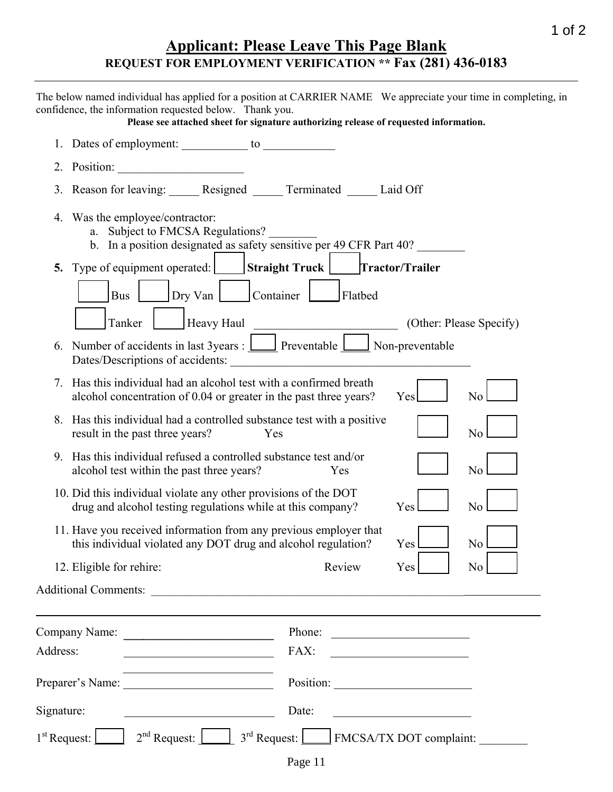# **Applicant: Please Leave This Page Blank REQUEST FOR EMPLOYMENT VERIFICATION \*\* Fax (281) 436-0183**

|                        | 1 of $2$<br><b>Applicant: Please Leave This Page Blank</b><br>REQUEST FOR EMPLOYMENT VERIFICATION ** Fax (281) 436-0183                                                                                                                                             |
|------------------------|---------------------------------------------------------------------------------------------------------------------------------------------------------------------------------------------------------------------------------------------------------------------|
|                        | The below named individual has applied for a position at CARRIER NAME We appreciate your time in completing, in<br>confidence, the information requested below. Thank you.<br>Please see attached sheet for signature authorizing release of requested information. |
|                        |                                                                                                                                                                                                                                                                     |
|                        |                                                                                                                                                                                                                                                                     |
|                        | 3. Reason for leaving: Resigned Terminated Laid Off                                                                                                                                                                                                                 |
|                        | 4. Was the employee/contractor:<br>a. Subject to FMCSA Regulations?<br>b. In a position designated as safety sensitive per 49 CFR Part 40?                                                                                                                          |
|                        | 5. Type of equipment operated: Straight Truck Tractor/Trailer<br>Dry Van Container Flatbed<br><b>Bus</b><br>Heavy Haul<br>Tanker<br>(Other: Please Specify)                                                                                                         |
|                        | 6. Number of accidents in last $3$ years : $\Box$ Preventable $\Box$ Non-preventable<br>Dates/Descriptions of accidents:<br><u> 1980 - John Stein, Amerikaansk politiker (</u>                                                                                      |
| 7.                     | Has this individual had an alcohol test with a confirmed breath<br>alcohol concentration of 0.04 or greater in the past three years?<br>Yes<br>N <sub>0</sub>                                                                                                       |
| 8.                     | Has this individual had a controlled substance test with a positive<br>N <sub>0</sub><br>result in the past three years?<br>Yes                                                                                                                                     |
|                        | 9. Has this individual refused a controlled substance test and/or<br>No<br>alcohol test within the past three years?<br><b>Example 18</b> Yes                                                                                                                       |
|                        | 10. Did this individual violate any other provisions of the DOT<br>drug and alcohol testing regulations while at this company?<br>N <sub>0</sub><br>Yes                                                                                                             |
|                        | 11. Have you received information from any previous employer that<br>this individual violated any DOT drug and alcohol regulation?<br>N <sub>0</sub><br>Yes                                                                                                         |
|                        | 12. Eligible for rehire:<br>Review<br>N <sub>0</sub><br>Yes                                                                                                                                                                                                         |
|                        |                                                                                                                                                                                                                                                                     |
|                        | Company Name:<br>Phone:                                                                                                                                                                                                                                             |
| Address:               | FAX:<br><u> 1989 - Johann Barbara, martxa alemani</u> ar a<br><u> 1989 - Johann Barn, fransk politik forh</u>                                                                                                                                                       |
|                        |                                                                                                                                                                                                                                                                     |
| Signature:             | Date:<br><u> 1980 - Jan James James Barbara, politik eta politikaria (h. 1905).</u><br><u> 1989 - Johann Barnett, fransk politiker (</u>                                                                                                                            |
| $1st$ Request: $\vert$ | $2nd$ Request: $\boxed{\phantom{2} \phantom{2}}$ 3 <sup>rd</sup> Request: $\boxed{\phantom{2} \phantom{2}}$ FMCSA/TX DOT complaint:                                                                                                                                 |
|                        | Page 11                                                                                                                                                                                                                                                             |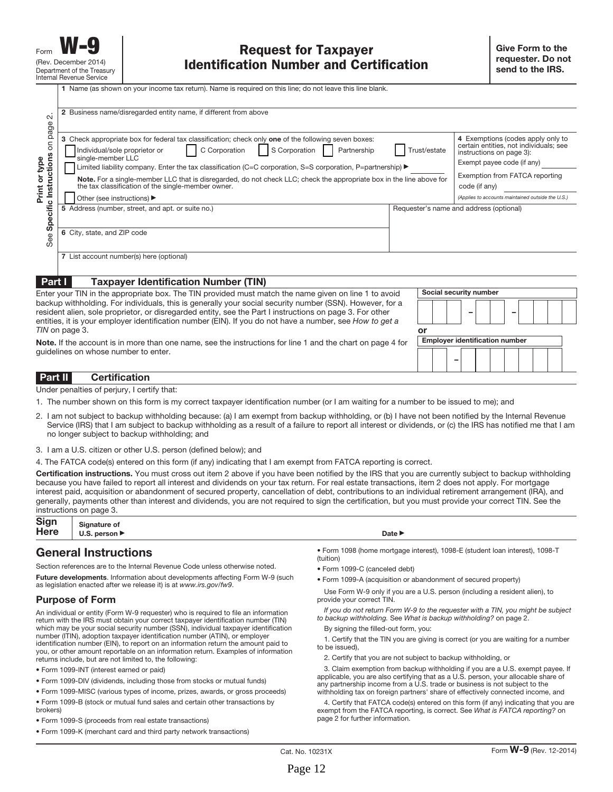| $\sim$                                                           | 2 Business name/disregarded entity name, if different from above                                                                                                                                                                                                                                                                                                                                                                                                                                                                       |                                                                                                                                                                                                                                               |                                         |
|------------------------------------------------------------------|----------------------------------------------------------------------------------------------------------------------------------------------------------------------------------------------------------------------------------------------------------------------------------------------------------------------------------------------------------------------------------------------------------------------------------------------------------------------------------------------------------------------------------------|-----------------------------------------------------------------------------------------------------------------------------------------------------------------------------------------------------------------------------------------------|-----------------------------------------|
| page<br>$\overline{5}$<br>Specific Instructions<br>Print or type | 3 Check appropriate box for federal tax classification; check only one of the following seven boxes:<br>C Corporation<br>S Corporation<br>Individual/sole proprietor or<br>Partnership<br>single-member LLC<br>Limited liability company. Enter the tax classification (C=C corporation, S=S corporation, P=partnership) ▶<br>Note. For a single-member LLC that is disregarded, do not check LLC; check the appropriate box in the line above for<br>the tax classification of the single-member owner.<br>Other (see instructions) ▶ | 4 Exemptions (codes apply only to<br>certain entities, not individuals; see<br>instructions on page 3):<br>Exempt payee code (if any)<br>Exemption from FATCA reporting<br>code (if any)<br>(Applies to accounts maintained outside the U.S.) |                                         |
| See                                                              | 5 Address (number, street, and apt. or suite no.)<br>6 City, state, and ZIP code                                                                                                                                                                                                                                                                                                                                                                                                                                                       |                                                                                                                                                                                                                                               | Requester's name and address (optional) |
|                                                                  | 7 List account number(s) here (optional)                                                                                                                                                                                                                                                                                                                                                                                                                                                                                               |                                                                                                                                                                                                                                               |                                         |
| Part I                                                           | <b>Taxpayer Identification Number (TIN)</b>                                                                                                                                                                                                                                                                                                                                                                                                                                                                                            |                                                                                                                                                                                                                                               |                                         |
|                                                                  | Enter your TIN in the appropriate box. The TIN provided must match the name given on line 1 to avoid                                                                                                                                                                                                                                                                                                                                                                                                                                   |                                                                                                                                                                                                                                               | Social security number                  |
|                                                                  | backup withholding. For individuals, this is generally your social security number (SSN). However, for a<br>resident alien, sole proprietor, or disregarded entity, see the Part I instructions on page 3. For other<br>entities, it is your employer identification number (EIN). If you do not have a number, see How to get a                                                                                                                                                                                                       |                                                                                                                                                                                                                                               |                                         |
|                                                                  | TIN on page 3.                                                                                                                                                                                                                                                                                                                                                                                                                                                                                                                         | or                                                                                                                                                                                                                                            |                                         |
|                                                                  | <b>Note.</b> If the account is in more than one name, see the instructions for line 1 and the chart on page 4 for                                                                                                                                                                                                                                                                                                                                                                                                                      |                                                                                                                                                                                                                                               | <b>Employer identification number</b>   |
|                                                                  | guidelines on whose number to enter.                                                                                                                                                                                                                                                                                                                                                                                                                                                                                                   |                                                                                                                                                                                                                                               |                                         |

#### **Part II Certification**

Under penalties of perjury, I certify that:

- 1. The number shown on this form is my correct taxpayer identification number (or I am waiting for a number to be issued to me); and
- 2. I am not subject to backup withholding because: (a) I am exempt from backup withholding, or (b) I have not been notified by the Internal Revenue Service (IRS) that I am subject to backup withholding as a result of a failure to report all interest or dividends, or (c) the IRS has notified me that I am no longer subject to backup withholding; and
- 3. I am a U.S. citizen or other U.S. person (defined below); and

4. The FATCA code(s) entered on this form (if any) indicating that I am exempt from FATCA reporting is correct.

**Certification instructions.** You must cross out item 2 above if you have been notified by the IRS that you are currently subject to backup withholding because you have failed to report all interest and dividends on your tax return. For real estate transactions, item 2 does not apply. For mortgage interest paid, acquisition or abandonment of secured property, cancellation of debt, contributions to an individual retirement arrangement (IRA), and generally, payments other than interest and dividends, you are not required to sign the certification, but you must provide your correct TIN. See the instructions on page 3.

| Sign Signature of $Here$ U.S. person | Date $\blacktriangleright$ |
|--------------------------------------|----------------------------|
|                                      |                            |

### **General Instructions**

Section references are to the Internal Revenue Code unless otherwise noted.

**Future developments**. Information about developments affecting Form W-9 (such as legislation enacted after we release it) is at www.irs.gov/fw9.

#### **Purpose of Form**

An individual or entity (Form W-9 requester) who is required to file an information return with the IRS must obtain your correct taxpayer identification number (TIN) which may be your social security number (SSN), individual taxpayer identification number (ITIN), adoption taxpayer identification number (ATIN), or employer identification number (EIN), to report on an information return the amount paid to you, or other amount reportable on an information return. Examples of information returns include, but are not limited to, the following:

- Form 1099-INT (interest earned or paid)
- Form 1099-DIV (dividends, including those from stocks or mutual funds)
- Form 1099-MISC (various types of income, prizes, awards, or gross proceeds)
- Form 1099-B (stock or mutual fund sales and certain other transactions by brokers)
- Form 1099-S (proceeds from real estate transactions)
- Form 1099-K (merchant card and third party network transactions)

- Form 1098 (home mortgage interest), 1098-E (student loan interest), 1098-T (tuition)
- Form 1099-C (canceled debt)
- Form 1099-A (acquisition or abandonment of secured property)

Use Form W-9 only if you are a U.S. person (including a resident alien), to provide your correct TIN.

If you do not return Form W-9 to the requester with a TIN, you might be subject to backup withholding. See What is backup withholding? on page 2.

By signing the filled-out form, you:

1. Certify that the TIN you are giving is correct (or you are waiting for a number to be issued),

2. Certify that you are not subject to backup withholding, or

3. Claim exemption from backup withholding if you are a U.S. exempt payee. If applicable, you are also certifying that as a U.S. person, your allocable share of any partnership income from a U.S. trade or business is not subject to the withholding tax on foreign partners' share of effectively connected income, and

4. Certify that FATCA code(s) entered on this form (if any) indicating that you are exempt from the FATCA reporting, is correct. See What is FATCA reporting? on page 2 for further information.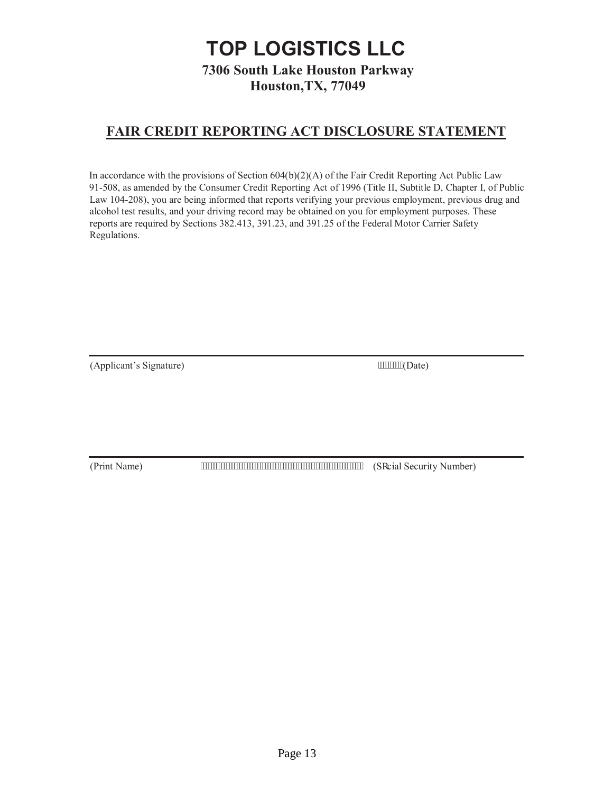# **TOP LOGISTICS LLC**

**7306 South Lake Houston Parkway Houston,TX, 77049** 

### **FAIR CREDIT REPORTING ACT DISCLOSURE STATEMENT**

In accordance with the provisions of Section 604(b)(2)(A) of the Fair Credit Reporting Act Public Law 91-508, as amended by the Consumer Credit Reporting Act of 1996 (Title II, Subtitle D, Chapter I, of Public Law 104-208), you are being informed that reports verifying your previous employment, previous drug and alcohol test results, and your driving record may be obtained on you for employment purposes. These reports are required by Sections 382.413, 391.23, and 391.25 of the Federal Motor Carrier Safety Regulations.

(Applicant's Signature) (Date)

(Print Name) **The Contract of Contract Contract Contract Contract Contract Contract Contract Contract Contract Contract Contract Contract Contract Contract Contract Contract Contract Contract Contract Contract Contract Con**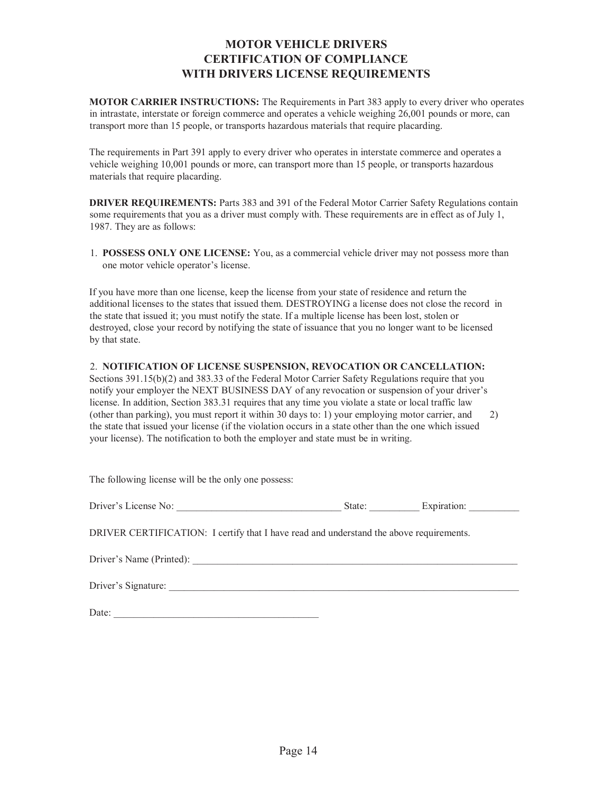### **MOTOR VEHICLE DRIVERS CERTIFICATION OF COMPLIANCE WITH DRIVERS LICENSE REQUIREMENTS**

**MOTOR CARRIER INSTRUCTIONS:** The Requirements in Part 383 apply to every driver who operates in intrastate, interstate or foreign commerce and operates a vehicle weighing 26,001 pounds or more, can transport more than 15 people, or transports hazardous materials that require placarding.

The requirements in Part 391 apply to every driver who operates in interstate commerce and operates a vehicle weighing 10,001 pounds or more, can transport more than 15 people, or transports hazardous materials that require placarding.

**DRIVER REQUIREMENTS:** Parts 383 and 391 of the Federal Motor Carrier Safety Regulations contain some requirements that you as a driver must comply with. These requirements are in effect as of July 1, 1987. They are as follows:

1. **POSSESS ONLY ONE LICENSE:** You, as a commercial vehicle driver may not possess more than one motor vehicle operator's license.

If you have more than one license, keep the license from your state of residence and return the additional licenses to the states that issued them. DESTROYING a license does not close the record in the state that issued it; you must notify the state. If a multiple license has been lost, stolen or destroyed, close your record by notifying the state of issuance that you no longer want to be licensed by that state.

#### 2. **NOTIFICATION OF LICENSE SUSPENSION, REVOCATION OR CANCELLATION:**

Sections 391.15(b)(2) and 383.33 of the Federal Motor Carrier Safety Regulations require that you notify your employer the NEXT BUSINESS DAY of any revocation or suspension of your driver's license. In addition, Section 383.31 requires that any time you violate a state or local traffic law (other than parking), you must report it within 30 days to: 1) your employing motor carrier, and 2) the state that issued your license (if the violation occurs in a state other than the one which issued your license). The notification to both the employer and state must be in writing.

| The following license will be the only one possess:                                     |                                                           |             |  |
|-----------------------------------------------------------------------------------------|-----------------------------------------------------------|-------------|--|
|                                                                                         | State: $\frac{1}{\sqrt{1-\frac{1}{2}} \cdot \frac{1}{2}}$ | Expiration: |  |
| DRIVER CERTIFICATION: I certify that I have read and understand the above requirements. |                                                           |             |  |
|                                                                                         |                                                           |             |  |
| Driver's Signature:                                                                     |                                                           |             |  |

Date: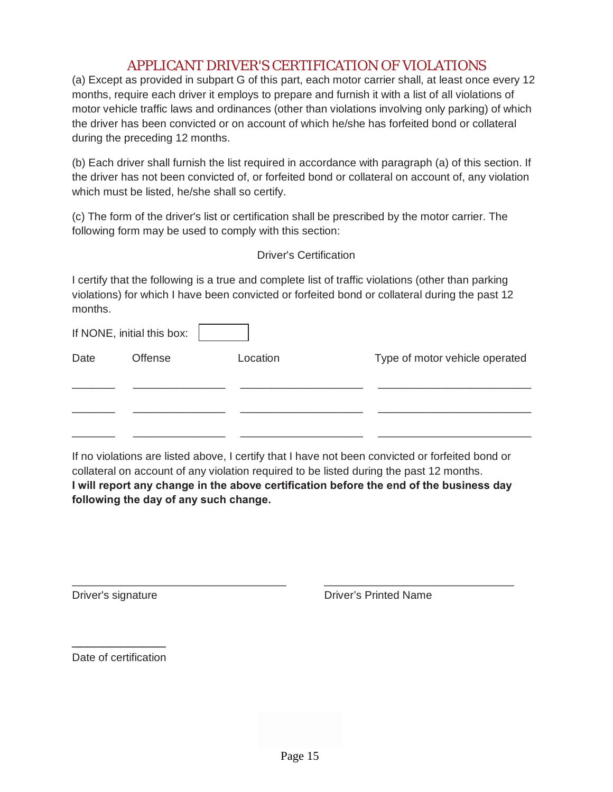### APPLICANT DRIVER'S CERTIFICATION OF VIOLATIONS

(a) Except as provided in subpart G of this part, each motor carrier shall, at least once every 12 months, require each driver it employs to prepare and furnish it with a list of all violations of motor vehicle traffic laws and ordinances (other than violations involving only parking) of which the driver has been convicted or on account of which he/she has forfeited bond or collateral during the preceding 12 months.

(b) Each driver shall furnish the list required in accordance with paragraph (a) of this section. If the driver has not been convicted of, or forfeited bond or collateral on account of, any violation which must be listed, he/she shall so certify.

(c) The form of the driver's list or certification shall be prescribed by the motor carrier. The following form may be used to comply with this section:

Driver's Certification

I certify that the following is a true and complete list of traffic violations (other than parking violations) for which I have been convicted or forfeited bond or collateral during the past 12 months.

|      | If NONE, initial this box: |          |                                |
|------|----------------------------|----------|--------------------------------|
| Date | <b>Offense</b>             | Location | Type of motor vehicle operated |
|      |                            |          |                                |
|      |                            |          |                                |
|      |                            |          |                                |

If no violations are listed above, I certify that I have not been convicted or forfeited bond or collateral on account of any violation required to be listed during the past 12 months. **I will report any change in the above certification before the end of the business day following the day of any such change.** 

\_\_\_\_\_\_\_\_\_\_\_\_\_\_\_\_\_\_\_\_\_\_\_\_\_\_\_\_\_\_\_\_\_\_\_ \_\_\_\_\_\_\_\_\_\_\_\_\_\_\_\_\_\_\_\_\_\_\_\_\_\_\_\_\_\_\_

Driver's signature Driver's Printed Name

\_\_\_\_\_\_\_\_\_\_\_\_ Date of certification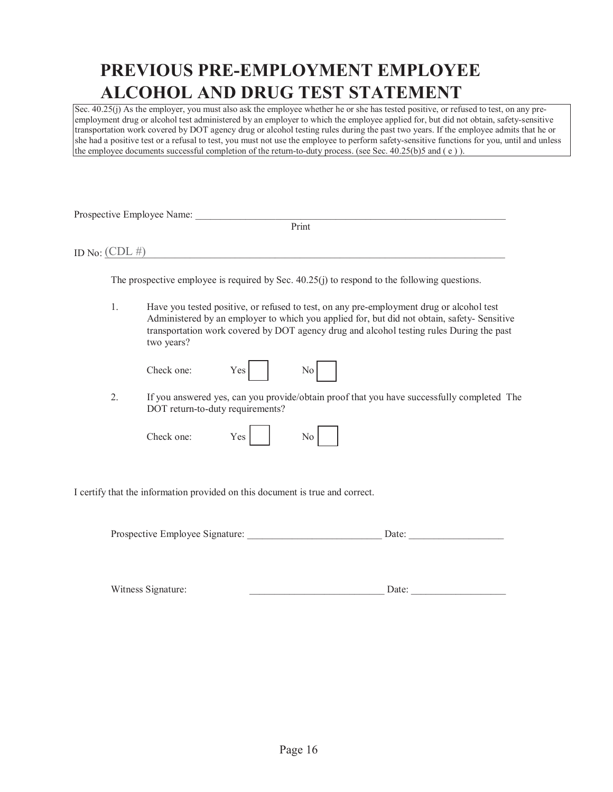# **PREVIOUS PRE-EMPLOYMENT EMPLOYEE ALCOHOL AND DRUG TEST STATEMENT**

Sec.  $40.25(j)$  As the employer, you must also ask the employee whether he or she has tested positive, or refused to test, on any preemployment drug or alcohol test administered by an employer to which the employee applied for, but did not obtain, safety-sensitive transportation work covered by DOT agency drug or alcohol testing rules during the past two years. If the employee admits that he or she had a positive test or a refusal to test, you must not use the employee to perform safety-sensitive functions for you, until and unless the employee documents successful completion of the return-to-duty process. (see Sec. 40.25(b)5 and ( e ) ).

Prospective Employee Name: \_\_\_\_\_\_\_\_\_\_\_\_\_\_\_\_\_\_\_\_\_\_\_\_\_\_\_\_\_\_\_\_\_\_\_\_\_\_\_\_\_\_\_\_\_\_\_\_\_\_\_\_\_\_\_\_\_\_\_\_\_\_

ID No:  $(CDL \#)$ 

Print

The prospective employee is required by Sec. 40.25(j) to respond to the following questions.

1. Have you tested positive, or refused to test, on any pre-employment drug or alcohol test Administered by an employer to which you applied for, but did not obtain, safety- Sensitive transportation work covered by DOT agency drug and alcohol testing rules During the past two years?

| Check one: | Yes |
|------------|-----|
|------------|-----|

|--|

2. If you answered yes, can you provide/obtain proof that you have successfully completed The DOT return-to-duty requirements?

Check one: Yes

I certify that the information provided on this document is true and correct.

Prospective Employee Signature: <br>  $\Box$  Date:  $\Box$ 

Witness Signature: \_\_\_\_\_\_\_\_\_\_\_\_\_\_\_\_\_\_\_\_\_\_\_\_\_\_\_ Date: \_\_\_\_\_\_\_\_\_\_\_\_\_\_\_\_\_\_\_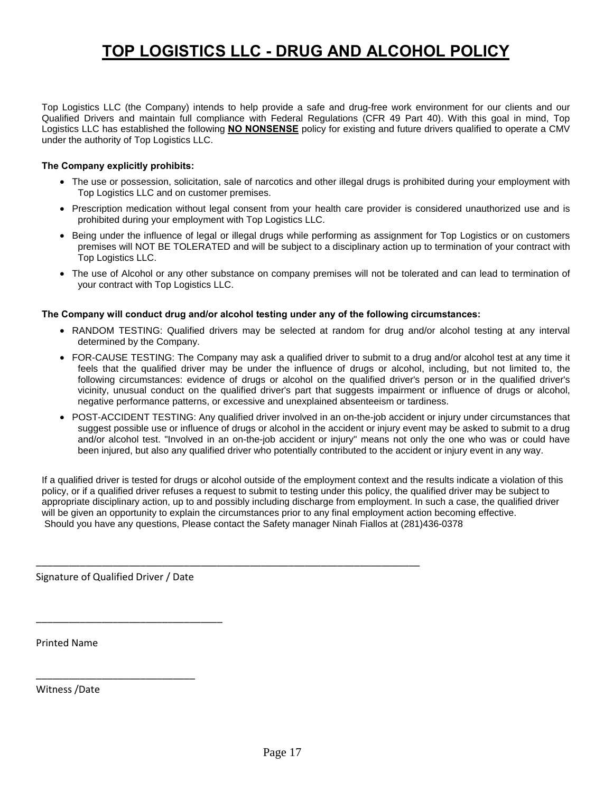# **TOP LOGISTICS LLC - DRUG AND ALCOHOL POLICY**

Top Logistics LLC (the Company) intends to help provide a safe and drug-free work environment for our clients and our Qualified Drivers and maintain full compliance with Federal Regulations (CFR 49 Part 40). With this goal in mind, Top Logistics LLC has established the following **NO NONSENSE** policy for existing and future drivers qualified to operate a CMV under the authority of Top Logistics LLC.

#### **The Company explicitly prohibits:**

- The use or possession, solicitation, sale of narcotics and other illegal drugs is prohibited during your employment with Top Logistics LLC and on customer premises.
- Prescription medication without legal consent from your health care provider is considered unauthorized use and is prohibited during your employment with Top Logistics LLC.
- Being under the influence of legal or illegal drugs while performing as assignment for Top Logistics or on customers premises will NOT BE TOLERATED and will be subject to a disciplinary action up to termination of your contract with Top Logistics LLC.
- The use of Alcohol or any other substance on company premises will not be tolerated and can lead to termination of your contract with Top Logistics LLC.

#### **The Company will conduct drug and/or alcohol testing under any of the following circumstances:**

\_\_\_\_\_\_\_\_\_\_\_\_\_\_\_\_\_\_\_\_\_\_\_\_\_\_\_\_\_\_\_\_\_\_\_\_\_\_\_\_\_\_\_\_\_\_\_\_\_\_\_\_\_\_\_\_\_\_\_\_\_\_\_\_\_\_\_\_\_\_

- RANDOM TESTING: Qualified drivers may be selected at random for drug and/or alcohol testing at any interval determined by the Company.
- FOR-CAUSE TESTING: The Company may ask a qualified driver to submit to a drug and/or alcohol test at any time it feels that the qualified driver may be under the influence of drugs or alcohol, including, but not limited to, the following circumstances: evidence of drugs or alcohol on the qualified driver's person or in the qualified driver's vicinity, unusual conduct on the qualified driver's part that suggests impairment or influence of drugs or alcohol, negative performance patterns, or excessive and unexplained absenteeism or tardiness.
- POST-ACCIDENT TESTING: Any qualified driver involved in an on-the-job accident or injury under circumstances that suggest possible use or influence of drugs or alcohol in the accident or injury event may be asked to submit to a drug and/or alcohol test. "Involved in an on-the-job accident or injury" means not only the one who was or could have been injured, but also any qualified driver who potentially contributed to the accident or injury event in any way.

If a qualified driver is tested for drugs or alcohol outside of the employment context and the results indicate a violation of this policy, or if a qualified driver refuses a request to submit to testing under this policy, the qualified driver may be subject to appropriate disciplinary action, up to and possibly including discharge from employment. In such a case, the qualified driver will be given an opportunity to explain the circumstances prior to any final employment action becoming effective. Should you have any questions, Please contact the Safety manager Ninah Fiallos at (281)436-0378

Signature of Qualified Driver / Date

\_\_\_\_\_\_\_\_\_\_\_\_\_\_\_\_\_\_\_\_\_\_\_\_\_\_\_\_\_

\_\_\_\_\_\_\_\_\_\_\_\_\_\_\_\_\_\_\_\_\_\_\_\_\_\_\_\_\_\_\_\_\_\_

Printed Name

Witness /Date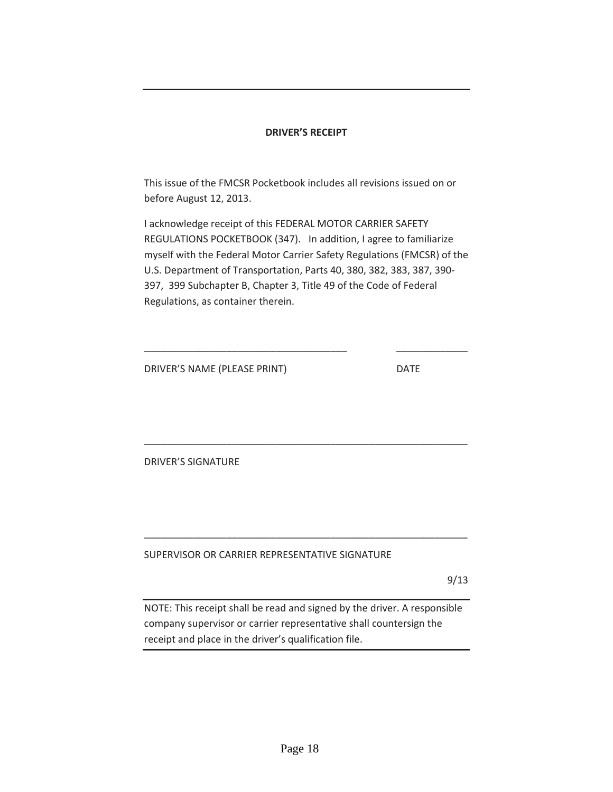#### **DRIVER'S RECEIPT**

This issue of the FMCSR Pocketbook includes all revisions issued on or before August 12, 2013.

I acknowledge receipt of this FEDERAL MOTOR CARRIER SAFETY REGULATIONS POCKETBOOK (347). In addition, I agree to familiarize myself with the Federal Motor Carrier Safety Regulations (FMCSR) of the U.S. Department of Transportation, Parts 40, 380, 382, 383, 387, 390- 397, 399 Subchapter B, Chapter 3, Title 49 of the Code of Federal Regulations, as container therein.

\_\_\_\_\_\_\_\_\_\_\_\_\_\_\_\_\_\_\_\_\_\_\_\_\_\_\_\_\_\_\_\_\_\_\_\_\_ \_\_\_\_\_\_\_\_\_\_\_\_\_

\_\_\_\_\_\_\_\_\_\_\_\_\_\_\_\_\_\_\_\_\_\_\_\_\_\_\_\_\_\_\_\_\_\_\_\_\_\_\_\_\_\_\_\_\_\_\_\_\_\_\_\_\_\_\_\_\_\_\_

\_\_\_\_\_\_\_\_\_\_\_\_\_\_\_\_\_\_\_\_\_\_\_\_\_\_\_\_\_\_\_\_\_\_\_\_\_\_\_\_\_\_\_\_\_\_\_\_\_\_\_\_\_\_\_\_\_\_\_

DRIVER'S NAME (PLEASE PRINT) DATE

DRIVER'S SIGNATURE

SUPERVISOR OR CARRIER REPRESENTATIVE SIGNATURE

9/13

NOTE: This receipt shall be read and signed by the driver. A responsible company supervisor or carrier representative shall countersign the receipt and place in the driver's qualification file.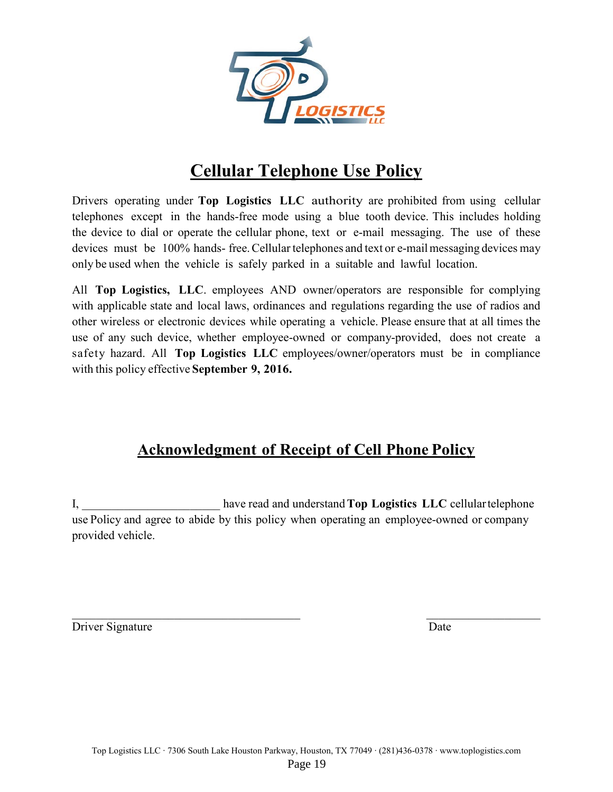

# **Cellular Telephone Use Policy**

Drivers operating under **Top Logistics LLC** authority are prohibited from using cellular telephones except in the hands-free mode using a blue tooth device. This includes holding the device to dial or operate the cellular phone, text or e-mail messaging. The use of these devices must be 100% hands-free. Cellular telephones and text or e-mail messaging devices may only be used when the vehicle is safely parked in a suitable and lawful location.

All **Top Logistics, LLC**. employees AND owner/operators are responsible for complying with applicable state and local laws, ordinances and regulations regarding the use of radios and other wireless or electronic devices while operating a vehicle. Please ensure that at all times the use of any such device, whether employee-owned or company-provided, does not create a safety hazard. All **Top Logistics LLC** employees/owner/operators must be in compliance with this policy effective **September 9, 2016.** 

# **Acknowledgment of Receipt of Cell Phone Policy**

I, \_\_\_\_\_\_\_\_\_\_\_\_\_\_\_\_\_\_\_\_\_\_\_ have read and understand **Top Logistics LLC** cellular telephone use Policy and agree to abide by this policy when operating an employee-owned or company provided vehicle.

 $\mathcal{L}_\text{max}$  , and the contribution of the contribution of the contribution of the contribution of the contribution of the contribution of the contribution of the contribution of the contribution of the contribution of t Driver Signature Date